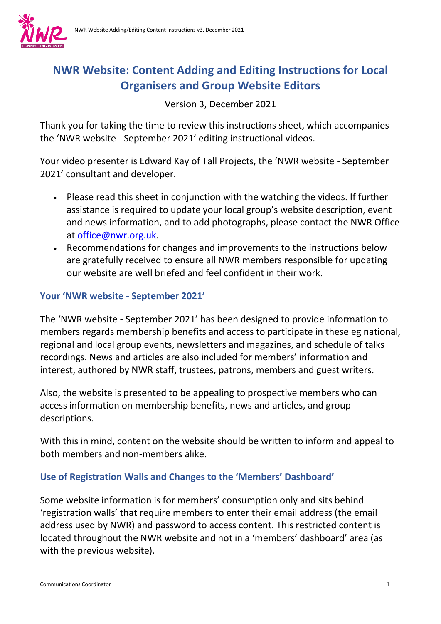

# **NWR Website: Content Adding and Editing Instructions for Local Organisers and Group Website Editors**

Version 3, December 2021

Thank you for taking the time to review this instructions sheet, which accompanies the 'NWR website - September 2021' editing instructional videos.

Your video presenter is Edward Kay of Tall Projects, the 'NWR website - September 2021' consultant and developer.

- Please read this sheet in conjunction with the watching the videos. If further assistance is required to update your local group's website description, event and news information, and to add photographs, please contact the NWR Office at [office@nwr.org.uk.](mailto:office@nwr.org.uk)
- Recommendations for changes and improvements to the instructions below are gratefully received to ensure all NWR members responsible for updating our website are well briefed and feel confident in their work.

## **Your 'NWR website - September 2021'**

The 'NWR website - September 2021' has been designed to provide information to members regards membership benefits and access to participate in these eg national, regional and local group events, newsletters and magazines, and schedule of talks recordings. News and articles are also included for members' information and interest, authored by NWR staff, trustees, patrons, members and guest writers.

Also, the website is presented to be appealing to prospective members who can access information on membership benefits, news and articles, and group descriptions.

With this in mind, content on the website should be written to inform and appeal to both members and non-members alike.

# **Use of Registration Walls and Changes to the 'Members' Dashboard'**

Some website information is for members' consumption only and sits behind 'registration walls' that require members to enter their email address (the email address used by NWR) and password to access content. This restricted content is located throughout the NWR website and not in a 'members' dashboard' area (as with the previous website).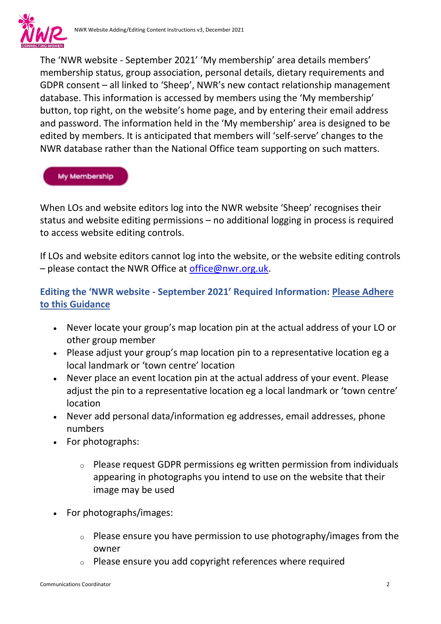

The 'NWR website - September 2021' 'My membership' area details members' membership status, group association, personal details, dietary requirements and GDPR consent – all linked to 'Sheep', NWR's new contact relationship management database. This information is accessed by members using the 'My membership' button, top right, on the website's home page, and by entering their email address and password. The information held in the 'My membership' area is designed to be edited by members. It is anticipated that members will 'self-serve' changes to the NWR database rather than the National Office team supporting on such matters.

#### **My Membership**

When LOs and website editors log into the NWR website 'Sheep' recognises their status and website editing permissions – no additional logging in process is required to access website editing controls.

If LOs and website editors cannot log into the website, or the website editing controls – please contact the NWR Office at [office@nwr.org.uk.](mailto:office@nwr.org.uk)

### **Editing the 'NWR website - September 2021' Required Information: Please Adhere to this Guidance**

- Never locate your group's map location pin at the actual address of your LO or other group member
- Please adjust your group's map location pin to a representative location eg a local landmark or 'town centre' location
- Never place an event location pin at the actual address of your event. Please adjust the pin to a representative location eg a local landmark or 'town centre' location
- Never add personal data/information eg addresses, email addresses, phone numbers
- For photographs:
	- o Please request GDPR permissions eg written permission from individuals appearing in photographs you intend to use on the website that their image may be used
- For photographs/images:
	- $\circ$  Please ensure you have permission to use photography/images from the owner
	- Please ensure you add copyright references where required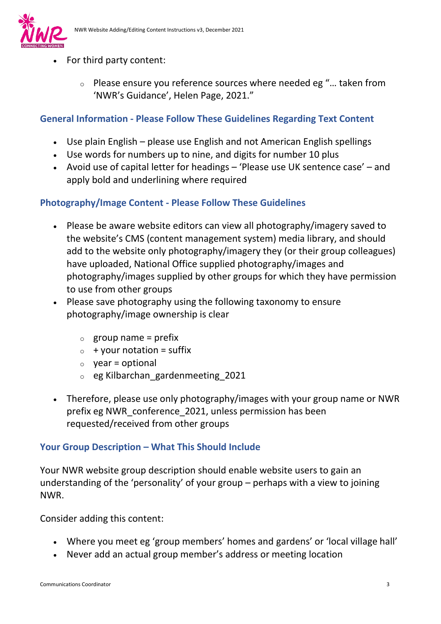

- For third party content:
	- o Please ensure you reference sources where needed eg "… taken from 'NWR's Guidance', Helen Page, 2021."

### **General Information - Please Follow These Guidelines Regarding Text Content**

- Use plain English please use English and not American English spellings
- Use words for numbers up to nine, and digits for number 10 plus
- Avoid use of capital letter for headings 'Please use UK sentence case' and apply bold and underlining where required

## **Photography/Image Content - Please Follow These Guidelines**

- Please be aware website editors can view all photography/imagery saved to the website's CMS (content management system) media library, and should add to the website only photography/imagery they (or their group colleagues) have uploaded, National Office supplied photography/images and photography/images supplied by other groups for which they have permission to use from other groups
- Please save photography using the following taxonomy to ensure photography/image ownership is clear
	- $\circ$  group name = prefix
	- $\circ$  + your notation = suffix
	- $\circ$  vear = optional
	- o eg Kilbarchan\_gardenmeeting\_2021
- Therefore, please use only photography/images with your group name or NWR prefix eg NWR\_conference\_2021, unless permission has been requested/received from other groups

### **Your Group Description – What This Should Include**

Your NWR website group description should enable website users to gain an understanding of the 'personality' of your group – perhaps with a view to joining NWR.

Consider adding this content:

- Where you meet eg 'group members' homes and gardens' or 'local village hall'
- Never add an actual group member's address or meeting location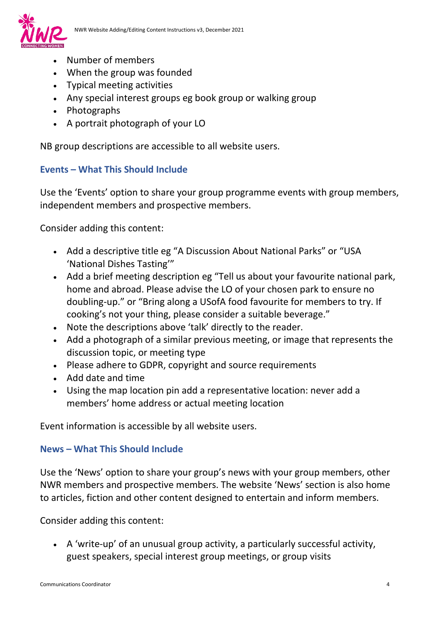

- Number of members
- When the group was founded
- Typical meeting activities
- Any special interest groups eg book group or walking group
- Photographs
- A portrait photograph of your LO

NB group descriptions are accessible to all website users.

### **Events – What This Should Include**

Use the 'Events' option to share your group programme events with group members, independent members and prospective members.

Consider adding this content:

- Add a descriptive title eg "A Discussion About National Parks" or "USA 'National Dishes Tasting'"
- Add a brief meeting description eg "Tell us about your favourite national park, home and abroad. Please advise the LO of your chosen park to ensure no doubling-up." or "Bring along a USofA food favourite for members to try. If cooking's not your thing, please consider a suitable beverage."
- Note the descriptions above 'talk' directly to the reader.
- Add a photograph of a similar previous meeting, or image that represents the discussion topic, or meeting type
- Please adhere to GDPR, copyright and source requirements
- Add date and time
- Using the map location pin add a representative location: never add a members' home address or actual meeting location

Event information is accessible by all website users.

### **News – What This Should Include**

Use the 'News' option to share your group's news with your group members, other NWR members and prospective members. The website 'News' section is also home to articles, fiction and other content designed to entertain and inform members.

Consider adding this content:

• A 'write-up' of an unusual group activity, a particularly successful activity, guest speakers, special interest group meetings, or group visits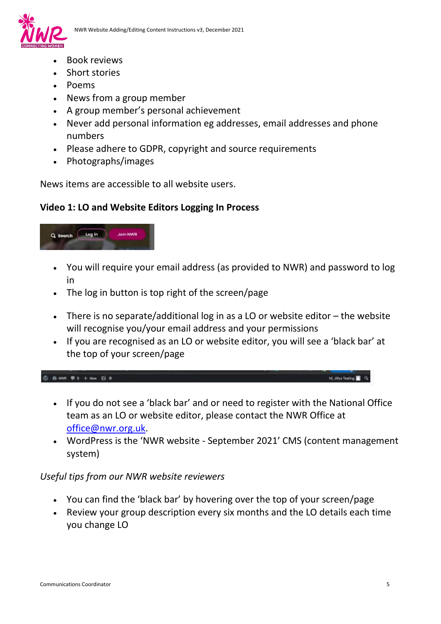

- Book reviews
- Short stories
- Poems
- News from a group member
- A group member's personal achievement
- Never add personal information eg addresses, email addresses and phone numbers
- Please adhere to GDPR, copyright and source requirements
- Photographs/images

News items are accessible to all website users.

#### **Video 1: LO and Website Editors Logging In Process**



- You will require your email address (as provided to NWR) and password to log in
- The log in button is top right of the screen/page
- There is no separate/additional log in as a LO or website editor the website will recognise you/your email address and your permissions
- If you are recognised as an LO or website editor, you will see a 'black bar' at the top of your screen/page

 $\circledR$  20 NWR  $\overline{\psi}$  5 + New  $\overline{\psi}$  8

- If you do not see a 'black bar' and or need to register with the National Office team as an LO or website editor, please contact the NWR Office at [office@nwr.org.uk.](mailto:office@nwr.org.uk)
- WordPress is the 'NWR website September 2021' CMS (content management system)

#### *Useful tips from our NWR website reviewers*

- You can find the 'black bar' by hovering over the top of your screen/page
- Review your group description every six months and the LO details each time you change LO

Hi, Jillys Testing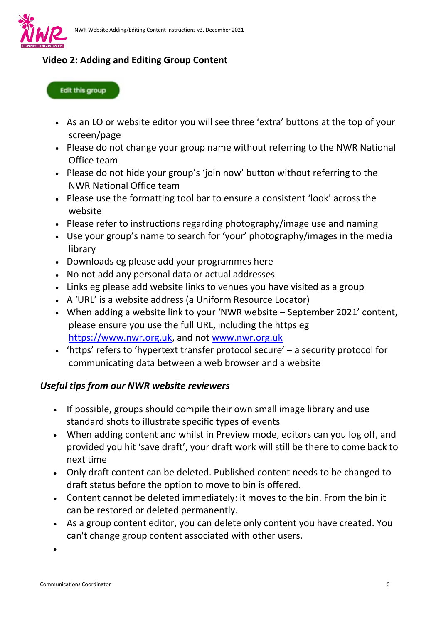

## **Video 2: Adding and Editing Group Content**

#### **Edit this group**

- As an LO or website editor you will see three 'extra' buttons at the top of your screen/page
- Please do not change your group name without referring to the NWR National Office team
- Please do not hide your group's 'join now' button without referring to the NWR National Office team
- Please use the formatting tool bar to ensure a consistent 'look' across the website
- Please refer to instructions regarding photography/image use and naming
- Use your group's name to search for 'your' photography/images in the media library
- Downloads eg please add your programmes here
- No not add any personal data or actual addresses
- Links eg please add website links to venues you have visited as a group
- A 'URL' is a website address (a Uniform Resource Locator)
- When adding a website link to your 'NWR website September 2021' content, please ensure you use the full URL, including the https eg [https://www.nwr.org.uk,](https://www.nwr.org.uk/) and not [www.nwr.org.uk](http://www.nwr.org.uk/)
- 'https' refers to 'hypertext transfer protocol secure' a security protocol for communicating data between a web browser and a website

### *Useful tips from our NWR website reviewers*

- If possible, groups should compile their own small image library and use standard shots to illustrate specific types of events
- When adding content and whilst in Preview mode, editors can you log off, and provided you hit 'save draft', your draft work will still be there to come back to next time
- Only draft content can be deleted. Published content needs to be changed to draft status before the option to move to bin is offered.
- Content cannot be deleted immediately: it moves to the bin. From the bin it can be restored or deleted permanently.
- As a group content editor, you can delete only content you have created. You can't change group content associated with other users.

•